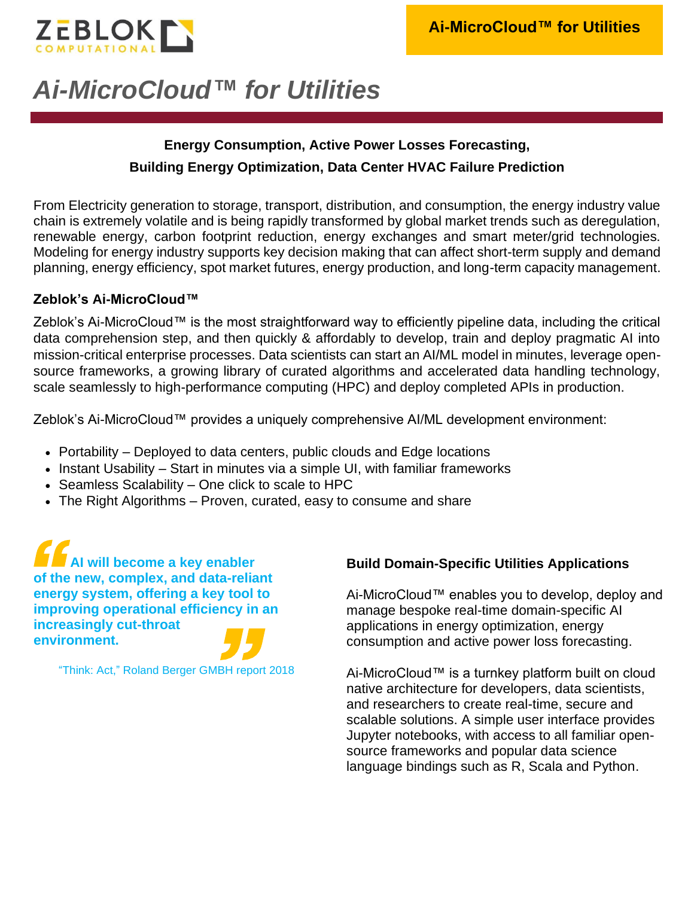

# *Ai-MicroCloud™ for Utilities*

## **Energy Consumption, Active Power Losses Forecasting, Building Energy Optimization, Data Center HVAC Failure Prediction**

From Electricity generation to storage, transport, distribution, and consumption, the energy industry value chain is extremely volatile and is being rapidly transformed by global market trends such as deregulation, renewable energy, carbon footprint reduction, energy exchanges and smart meter/grid technologies. Modeling for energy industry supports key decision making that can affect short-term supply and demand planning, energy efficiency, spot market futures, energy production, and long-term capacity management.

#### **Zeblok's Ai-MicroCloud™**

Zeblok's Ai-MicroCloud™ is the most straightforward way to efficiently pipeline data, including the critical data comprehension step, and then quickly & affordably to develop, train and deploy pragmatic AI into mission-critical enterprise processes. Data scientists can start an AI/ML model in minutes, leverage opensource frameworks, a growing library of curated algorithms and accelerated data handling technology, scale seamlessly to high-performance computing (HPC) and deploy completed APIs in production.

Zeblok's Ai-MicroCloud™ provides a uniquely comprehensive AI/ML development environment:

- Portability Deployed to data centers, public clouds and Edge locations
- Instant Usability Start in minutes via a simple UI, with familiar frameworks
- Seamless Scalability One click to scale to HPC
- The Right Algorithms Proven, curated, easy to consume and share

**AI will become a key enabler of the new, complex, and data-reliant energy system, offering a key tool to improving operational efficiency in an increasingly cut-throat environment.**

"Think: Act," Roland Berger GMBH report 2018

#### **Build Domain-Specific Utilities Applications**

Ai-MicroCloud™ enables you to develop, deploy and manage bespoke real-time domain-specific AI applications in energy optimization, energy consumption and active power loss forecasting.

Ai-MicroCloud™ is a turnkey platform built on cloud native architecture for developers, data scientists, and researchers to create real-time, secure and scalable solutions. A simple user interface provides Jupyter notebooks, with access to all familiar opensource frameworks and popular data science language bindings such as R, Scala and Python.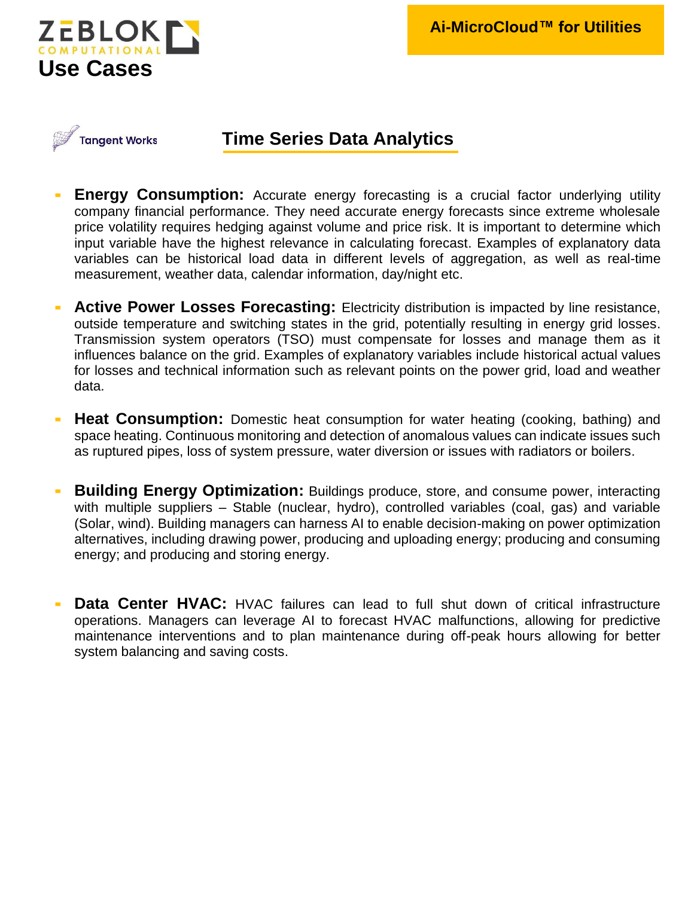



### **Time Series Data Analytics**

- **Energy Consumption:** Accurate energy forecasting is a crucial factor underlying utility company financial performance. They need accurate energy forecasts since extreme wholesale price volatility requires hedging against volume and price risk. It is important to determine which input variable have the highest relevance in calculating forecast. Examples of explanatory data variables can be historical load data in different levels of aggregation, as well as real-time measurement, weather data, calendar information, day/night etc.
- Active Power Losses Forecasting: Electricity distribution is impacted by line resistance, outside temperature and switching states in the grid, potentially resulting in energy grid losses. Transmission system operators (TSO) must compensate for losses and manage them as it influences balance on the grid. Examples of explanatory variables include historical actual values for losses and technical information such as relevant points on the power grid, load and weather data.
- **Heat Consumption:** Domestic heat consumption for water heating (cooking, bathing) and space heating. Continuous monitoring and detection of anomalous values can indicate issues such as ruptured pipes, loss of system pressure, water diversion or issues with radiators or boilers.
- **Building Energy Optimization:** Buildings produce, store, and consume power, interacting with multiple suppliers – Stable (nuclear, hydro), controlled variables (coal, gas) and variable (Solar, wind). Building managers can harness AI to enable decision-making on power optimization alternatives, including drawing power, producing and uploading energy; producing and consuming energy; and producing and storing energy.
- **Data Center HVAC:** HVAC failures can lead to full shut down of critical infrastructure operations. Managers can leverage AI to forecast HVAC malfunctions, allowing for predictive maintenance interventions and to plan maintenance during off-peak hours allowing for better system balancing and saving costs.